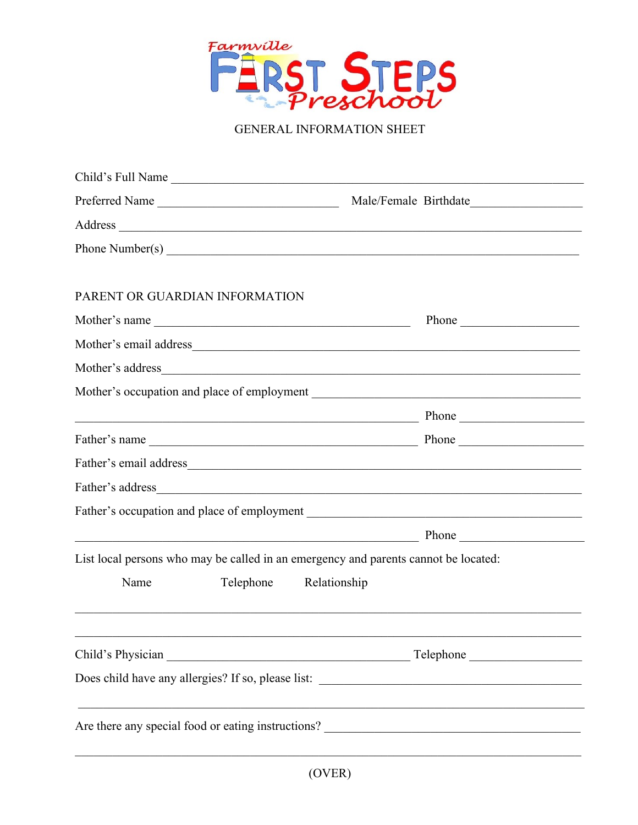

GENERAL INFORMATION SHEET

| Child's Full Name                                                                   |                                                                                                                                                                                                                                                                                                                         |
|-------------------------------------------------------------------------------------|-------------------------------------------------------------------------------------------------------------------------------------------------------------------------------------------------------------------------------------------------------------------------------------------------------------------------|
| Preferred Name                                                                      |                                                                                                                                                                                                                                                                                                                         |
|                                                                                     |                                                                                                                                                                                                                                                                                                                         |
|                                                                                     |                                                                                                                                                                                                                                                                                                                         |
|                                                                                     |                                                                                                                                                                                                                                                                                                                         |
| PARENT OR GUARDIAN INFORMATION                                                      |                                                                                                                                                                                                                                                                                                                         |
| Mother's name                                                                       |                                                                                                                                                                                                                                                                                                                         |
|                                                                                     |                                                                                                                                                                                                                                                                                                                         |
|                                                                                     |                                                                                                                                                                                                                                                                                                                         |
|                                                                                     |                                                                                                                                                                                                                                                                                                                         |
|                                                                                     | <u>Phone</u> Phone Phone 2008. Phone 2008. Phone 2008. The Contract of the Contract of the Contract of the Contract of the Contract of the Contract of the Contract of the Contract of the Contract of the Contract of the Contract                                                                                     |
|                                                                                     |                                                                                                                                                                                                                                                                                                                         |
|                                                                                     |                                                                                                                                                                                                                                                                                                                         |
|                                                                                     |                                                                                                                                                                                                                                                                                                                         |
|                                                                                     |                                                                                                                                                                                                                                                                                                                         |
|                                                                                     | $Phone$ $\rule{1em}{0.15mm}$ $\rule{1em}{0.15mm}$ $\rule{1em}{0.15mm}$ $\rule{1em}{0.15mm}$ $\rule{1em}{0.15mm}$ $\rule{1em}{0.15mm}$ $\rule{1em}{0.15mm}$ $\rule{1em}{0.15mm}$ $\rule{1em}{0.15mm}$ $\rule{1em}{0.15mm}$ $\rule{1em}{0.15mm}$ $\rule{1em}{0.15mm}$ $\rule{1em}{0.15mm}$ $\rule{1em}{0.15mm}$ $\rule{1$ |
| List local persons who may be called in an emergency and parents cannot be located: |                                                                                                                                                                                                                                                                                                                         |
| Name<br>Telephone Relationship                                                      |                                                                                                                                                                                                                                                                                                                         |
|                                                                                     |                                                                                                                                                                                                                                                                                                                         |
|                                                                                     |                                                                                                                                                                                                                                                                                                                         |
|                                                                                     |                                                                                                                                                                                                                                                                                                                         |
|                                                                                     |                                                                                                                                                                                                                                                                                                                         |